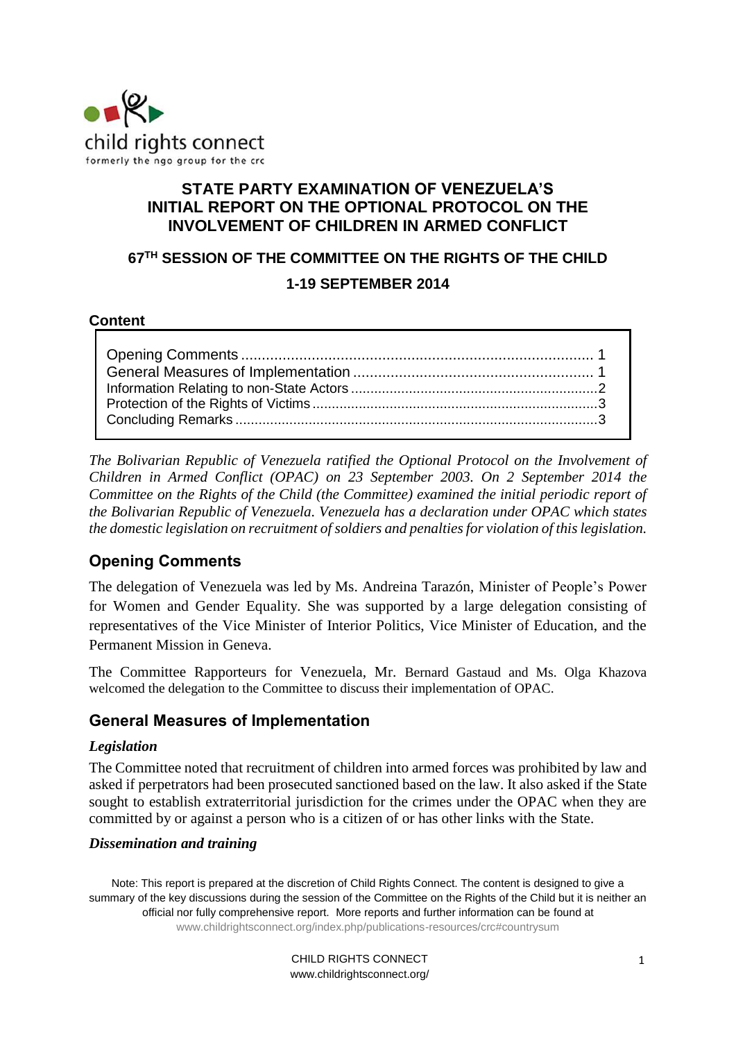

## **STATE PARTY EXAMINATION OF VENEZUELA'S INITIAL REPORT ON THE OPTIONAL PROTOCOL ON THE INVOLVEMENT OF CHILDREN IN ARMED CONFLICT**

## **67TH SESSION OF THE COMMITTEE ON THE RIGHTS OF THE CHILD**

### **1-19 SEPTEMBER 2014**

#### **Content**

*The Bolivarian Republic of Venezuela ratified the Optional Protocol on the Involvement of Children in Armed Conflict (OPAC) on 23 September 2003. On 2 September 2014 the Committee on the Rights of the Child (the Committee) examined the initial periodic report of the Bolivarian Republic of Venezuela. Venezuela has a declaration under OPAC which states the domestic legislation on recruitment of soldiers and penalties for violation of this legislation.* 

# <span id="page-0-0"></span>**Opening Comments**

The delegation of Venezuela was led by Ms. Andreina Tarazón, Minister of People's Power for Women and Gender Equality*.* She was supported by a large delegation consisting of representatives of the Vice Minister of Interior Politics, Vice Minister of Education, and the Permanent Mission in Geneva.

The Committee Rapporteurs for Venezuela, Mr. Bernard Gastaud and Ms. Olga Khazova welcomed the delegation to the Committee to discuss their implementation of OPAC.

## **General Measures of Implementation**

### *Legislation*

The Committee noted that recruitment of children into armed forces was prohibited by law and asked if perpetrators had been prosecuted sanctioned based on the law. It also asked if the State sought to establish extraterritorial jurisdiction for the crimes under the OPAC when they are committed by or against a person who is a citizen of or has other links with the State.

### *Dissemination and training*

Note: This report is prepared at the discretion of Child Rights Connect. The content is designed to give a summary of the key discussions during the session of the Committee on the Rights of the Child but it is neither an official nor fully comprehensive report. More reports and further information can be found at [www.childrightsconnect.org/index.php/publications-resources/crc#countrysum](http://www.childrightsconnect.org/index.php/publications-resources/crc#countrysum)

> <span id="page-0-1"></span>CHILD RIGHTS CONNECT www.childrightsconnect.org/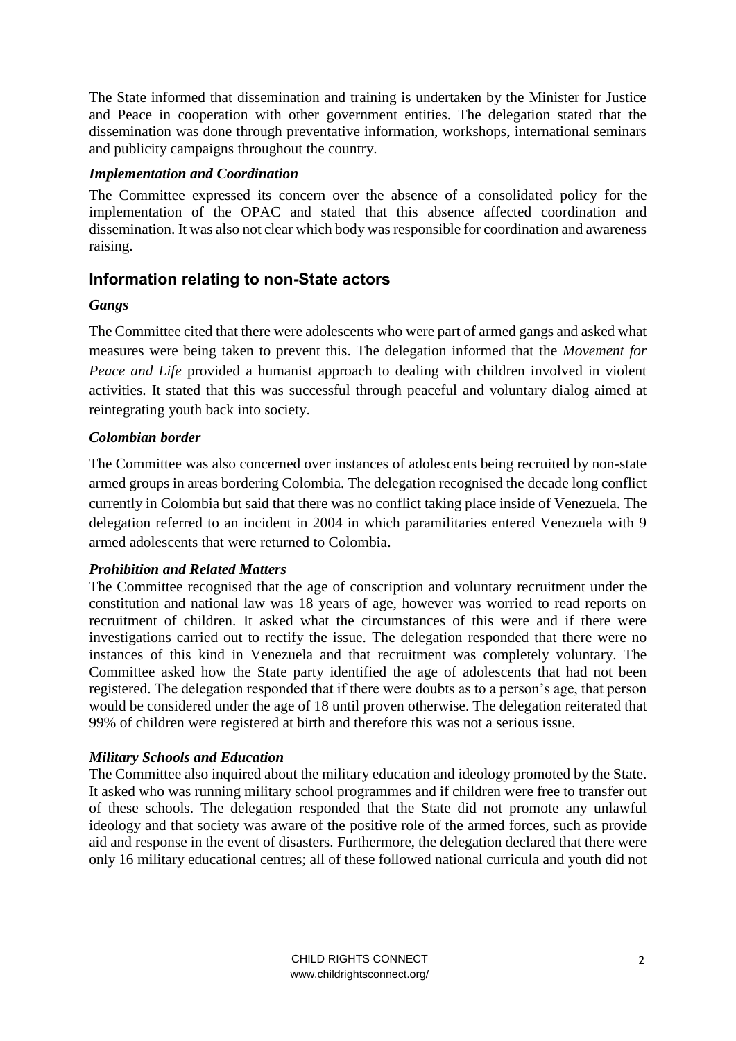The State informed that dissemination and training is undertaken by the Minister for Justice and Peace in cooperation with other government entities. The delegation stated that the dissemination was done through preventative information, workshops, international seminars and publicity campaigns throughout the country.

#### *Implementation and Coordination*

The Committee expressed its concern over the absence of a consolidated policy for the implementation of the OPAC and stated that this absence affected coordination and dissemination. It was also not clear which body was responsible for coordination and awareness raising.

## **Information relating to non-State actors**

### *Gangs*

The Committee cited that there were adolescents who were part of armed gangs and asked what measures were being taken to prevent this. The delegation informed that the *Movement for Peace and Life* provided a humanist approach to dealing with children involved in violent activities. It stated that this was successful through peaceful and voluntary dialog aimed at reintegrating youth back into society.

### *Colombian border*

The Committee was also concerned over instances of adolescents being recruited by non-state armed groups in areas bordering Colombia. The delegation recognised the decade long conflict currently in Colombia but said that there was no conflict taking place inside of Venezuela. The delegation referred to an incident in 2004 in which paramilitaries entered Venezuela with 9 armed adolescents that were returned to Colombia.

### *Prohibition and Related Matters*

The Committee recognised that the age of conscription and voluntary recruitment under the constitution and national law was 18 years of age, however was worried to read reports on recruitment of children. It asked what the circumstances of this were and if there were investigations carried out to rectify the issue. The delegation responded that there were no instances of this kind in Venezuela and that recruitment was completely voluntary. The Committee asked how the State party identified the age of adolescents that had not been registered. The delegation responded that if there were doubts as to a person's age, that person would be considered under the age of 18 until proven otherwise. The delegation reiterated that 99% of children were registered at birth and therefore this was not a serious issue.

### *Military Schools and Education*

The Committee also inquired about the military education and ideology promoted by the State. It asked who was running military school programmes and if children were free to transfer out of these schools. The delegation responded that the State did not promote any unlawful ideology and that society was aware of the positive role of the armed forces, such as provide aid and response in the event of disasters. Furthermore, the delegation declared that there were only 16 military educational centres; all of these followed national curricula and youth did not